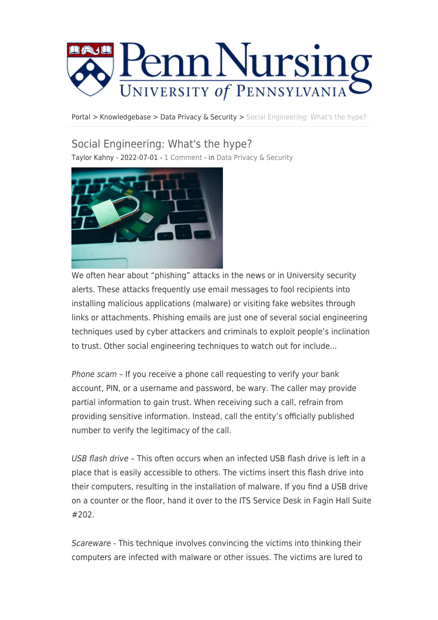

[Portal](https://requests.nursing.upenn.edu/) > [Knowledgebase](https://requests.nursing.upenn.edu/kb) > [Data Privacy & Security](https://requests.nursing.upenn.edu/kb/data-privacy-security) > [Social Engineering: What's the hype?](https://requests.nursing.upenn.edu/kb/articles/social-engineering-what-s-the-hype)

## Social Engineering: What's the hype?

Taylor Kahny - 2022-07-01 - [1 Comment](#page--1-0) - in [Data Privacy & Security](https://requests.nursing.upenn.edu/kb/data-privacy-security)



We often hear about "phishing" attacks in the news or in University security alerts. These attacks frequently use email messages to fool recipients into installing malicious applications (malware) or visiting fake websites through links or attachments. Phishing emails are just one of several social engineering techniques used by cyber attackers and criminals to exploit people's inclination to trust. Other social engineering techniques to watch out for include...

Phone scam - If you receive a phone call requesting to verify your bank account, PIN, or a username and password, be wary. The caller may provide partial information to gain trust. When receiving such a call, refrain from providing sensitive information. Instead, call the entity's officially published number to verify the legitimacy of the call.

USB flash drive – This often occurs when an infected USB flash drive is left in a place that is easily accessible to others. The victims insert this flash drive into their computers, resulting in the installation of malware. If you find a USB drive on a counter or the floor, hand it over to the ITS Service Desk in Fagin Hall Suite #202.

Scareware - This technique involves convincing the victims into thinking their computers are infected with malware or other issues. The victims are lured to